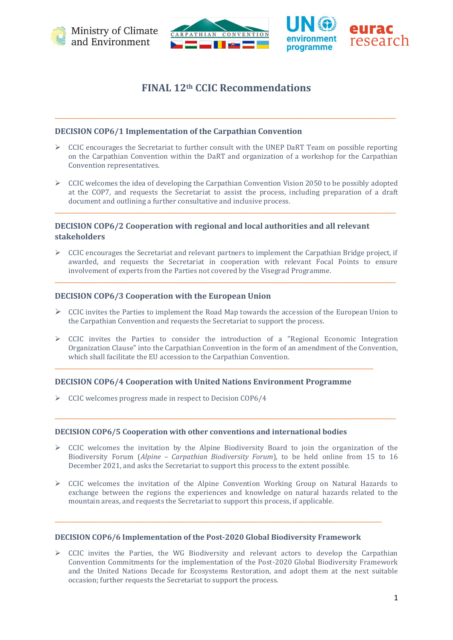





# **FINAL 12th CCIC Recommendations**

**\_\_\_\_\_\_\_\_\_\_\_\_\_\_\_\_\_\_\_\_\_\_\_\_\_\_\_\_\_\_\_\_\_\_\_\_\_\_\_\_\_\_\_\_\_\_\_\_\_\_\_\_\_\_\_\_\_\_\_\_\_\_\_\_\_\_\_\_\_\_\_\_\_\_\_\_\_\_\_\_\_\_\_\_\_\_\_\_\_\_\_\_\_\_\_\_\_\_\_\_\_\_\_\_\_\_\_\_\_\_\_\_\_\_\_\_\_\_\_\_\_**

# **DECISION COP6/1 Implementation of the Carpathian Convention**

- $\geq$  CCIC encourages the Secretariat to further consult with the UNEP DaRT Team on possible reporting on the Carpathian Convention within the DaRT and organization of a workshop for the Carpathian Convention representatives.
- $\triangleright$  CCIC welcomes the idea of developing the Carpathian Convention Vision 2050 to be possibly adopted at the COP7, and requests the Secretariat to assist the process, including preparation of a draft document and outlining a further consultative and inclusive process.

**\_\_\_\_\_\_\_\_\_\_\_\_\_\_\_\_\_\_\_\_\_\_\_\_\_\_\_\_\_\_\_\_\_\_\_\_\_\_\_\_\_\_\_\_\_\_\_\_\_\_\_\_\_\_\_\_\_\_\_\_\_\_\_\_\_\_\_\_\_\_\_\_\_\_\_\_\_\_\_\_\_\_\_\_\_\_\_\_\_\_\_\_\_\_\_\_\_\_\_\_\_\_\_\_\_\_\_\_\_\_\_\_\_\_\_\_\_\_\_\_\_**

# **DECISION COP6/2 Cooperation with regional and local authorities and all relevant stakeholders**

 $\triangleright$  CCIC encourages the Secretariat and relevant partners to implement the Carpathian Bridge project, if awarded, and requests the Secretariat in cooperation with relevant Focal Points to ensure involvement of experts from the Parties not covered by the Visegrad Programme.

**\_\_\_\_\_\_\_\_\_\_\_\_\_\_\_\_\_\_\_\_\_\_\_\_\_\_\_\_\_\_\_\_\_\_\_\_\_\_\_\_\_\_\_\_\_\_\_\_\_\_\_\_\_\_\_\_\_\_\_\_\_\_\_\_\_\_\_\_\_\_\_\_\_\_\_\_\_\_\_\_\_\_\_\_\_\_\_\_\_\_\_\_\_\_\_\_\_\_\_\_\_\_\_\_\_\_\_\_\_\_\_\_\_\_\_\_\_\_\_\_\_**

# **DECISION COP6/3 Cooperation with the European Union**

- $\triangleright$  CCIC invites the Parties to implement the Road Map towards the accession of the European Union to the Carpathian Convention and requests the Secretariat to support the process.
- $\triangleright$  CCIC invites the Parties to consider the introduction of a "Regional Economic Integration Organization Clause" into the Carpathian Convention in the form of an amendment of the Convention, which shall facilitate the EU accession to the Carpathian Convention.

#### **DECISION COP6/4 Cooperation with United Nations Environment Programme**

**\_\_\_\_\_\_\_\_\_\_\_\_\_\_\_\_\_\_\_\_\_\_\_\_\_\_\_\_\_\_\_\_\_\_\_\_\_\_\_\_\_\_\_\_\_\_\_\_\_\_\_\_\_\_\_\_\_\_\_\_\_\_\_\_\_\_\_\_\_\_\_\_\_\_\_\_\_\_\_\_\_\_\_\_\_\_\_\_\_\_\_\_\_\_\_\_\_\_\_\_\_\_\_\_\_\_\_\_\_\_\_\_\_**

➢ CCIC welcomes progress made in respect to Decision COP6/4

#### **DECISION COP6/5 Cooperation with other conventions and international bodies**

 $\triangleright$  CCIC welcomes the invitation by the Alpine Biodiversity Board to join the organization of the Biodiversity Forum (*Alpine – Carpathian Biodiversity Forum*), to be held online from 15 to 16 December 2021, and asks the Secretariat to support this process to the extent possible.

**\_\_\_\_\_\_\_\_\_\_\_\_\_\_\_\_\_\_\_\_\_\_\_\_\_\_\_\_\_\_\_\_\_\_\_\_\_\_\_\_\_\_\_\_\_\_\_\_\_\_\_\_\_\_\_\_\_\_\_\_\_\_\_\_\_\_\_\_\_\_\_\_\_\_\_\_\_\_\_\_\_\_\_\_\_\_\_\_\_\_\_\_\_\_\_\_\_\_\_\_\_\_\_\_\_\_\_\_\_\_\_\_\_\_\_\_\_\_\_\_\_**

➢ CCIC welcomes the invitation of the Alpine Convention Working Group on Natural Hazards to exchange between the regions the experiences and knowledge on natural hazards related to the mountain areas, and requests the Secretariat to support this process, if applicable.

#### **DECISION COP6/6 Implementation of the Post-2020 Global Biodiversity Framework**

**\_\_\_\_\_\_\_\_\_\_\_\_\_\_\_\_\_\_\_\_\_\_\_\_\_\_\_\_\_\_\_\_\_\_\_\_\_\_\_\_\_\_\_\_\_\_\_\_\_\_\_\_\_\_\_\_\_\_\_\_\_\_\_\_\_\_\_\_\_\_\_\_\_\_\_\_\_\_\_\_\_\_\_\_\_\_\_\_\_\_\_\_\_\_\_\_\_\_\_\_\_\_\_\_\_\_\_\_\_\_\_\_\_\_\_\_**

 $\triangleright$  CCIC invites the Parties, the WG Biodiversity and relevant actors to develop the Carpathian Convention Commitments for the implementation of the Post-2020 Global Biodiversity Framework and the United Nations Decade for Ecosystems Restoration, and adopt them at the next suitable occasion; further requests the Secretariat to support the process.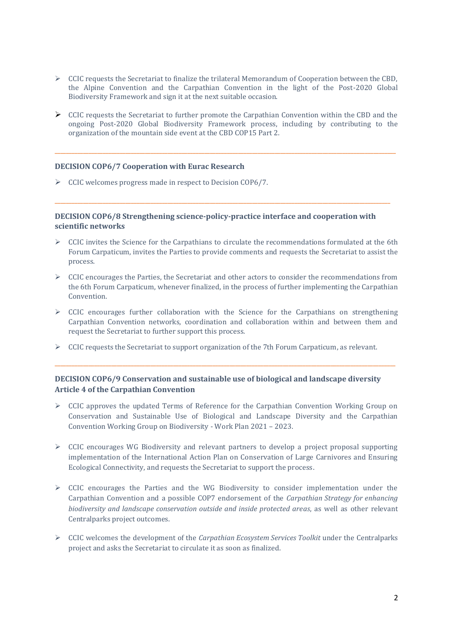- $\triangleright$  CCIC requests the Secretariat to finalize the trilateral Memorandum of Cooperation between the CBD, the Alpine Convention and the Carpathian Convention in the light of the Post-2020 Global Biodiversity Framework and sign it at the next suitable occasion.
- $\triangleright$  CCIC requests the Secretariat to further promote the Carpathian Convention within the CBD and the ongoing Post-2020 Global Biodiversity Framework process, including by contributing to the organization of the mountain side event at the CBD COP15 Part 2.

**\_\_\_\_\_\_\_\_\_\_\_\_\_\_\_\_\_\_\_\_\_\_\_\_\_\_\_\_\_\_\_\_\_\_\_\_\_\_\_\_\_\_\_\_\_\_\_\_\_\_\_\_\_\_\_\_\_\_\_\_\_\_\_\_\_\_\_\_\_\_\_\_\_\_\_\_\_\_\_\_\_\_\_\_\_\_\_\_\_\_\_\_\_\_\_\_\_\_\_\_\_\_\_\_\_\_\_\_\_\_\_\_\_\_\_\_\_\_\_\_\_**

#### **DECISION COP6/7 Cooperation with Eurac Research**

➢ CCIC welcomes progress made in respect to Decision COP6/7.

#### **DECISION COP6/8 Strengthening science-policy-practice interface and cooperation with scientific networks**

**\_\_\_\_\_\_\_\_\_\_\_\_\_\_\_\_\_\_\_\_\_\_\_\_\_\_\_\_\_\_\_\_\_\_\_\_\_\_\_\_\_\_\_\_\_\_\_\_\_\_\_\_\_\_\_\_\_\_\_\_\_\_\_\_\_\_\_\_\_\_\_\_\_\_\_\_\_\_\_\_\_\_\_\_\_\_\_\_\_\_\_\_\_\_\_\_\_\_\_\_\_\_\_\_\_\_\_\_\_\_\_\_\_\_\_\_\_\_\_**

- $\triangleright$  CCIC invites the Science for the Carpathians to circulate the recommendations formulated at the 6th Forum Carpaticum, invites the Parties to provide comments and requests the Secretariat to assist the process.
- $\triangleright$  CCIC encourages the Parties, the Secretariat and other actors to consider the recommendations from the 6th Forum Carpaticum, whenever finalized, in the process of further implementing the Carpathian Convention.
- ➢ CCIC encourages further collaboration with the Science for the Carpathians on strengthening Carpathian Convention networks, coordination and collaboration within and between them and request the Secretariat to further support this process.

**\_\_\_\_\_\_\_\_\_\_\_\_\_\_\_\_\_\_\_\_\_\_\_\_\_\_\_\_\_\_\_\_\_\_\_\_\_\_\_\_\_\_\_\_\_\_\_\_\_\_\_\_\_\_\_\_\_\_\_\_\_\_\_\_\_\_\_\_\_\_\_\_\_\_\_\_\_\_\_\_\_\_\_\_\_\_\_\_\_\_\_\_\_\_\_\_\_\_\_\_\_\_\_\_\_\_\_\_\_\_\_\_\_\_\_\_\_\_\_\_\_**

 $\triangleright$  CCIC requests the Secretariat to support organization of the 7th Forum Carpaticum, as relevant.

# **DECISION COP6/9 Conservation and sustainable use of biological and landscape diversity Article 4 of the Carpathian Convention**

- $\triangleright$  CCIC approves the updated Terms of Reference for the Carpathian Convention Working Group on Conservation and Sustainable Use of Biological and Landscape Diversity and the Carpathian Convention Working Group on Biodiversity - Work Plan 2021 – 2023.
- $\triangleright$  CCIC encourages WG Biodiversity and relevant partners to develop a project proposal supporting implementation of the International Action Plan on Conservation of Large Carnivores and Ensuring Ecological Connectivity, and requests the Secretariat to support the process.
- $\triangleright$  CCIC encourages the Parties and the WG Biodiversity to consider implementation under the Carpathian Convention and a possible COP7 endorsement of the *Carpathian Strategy for enhancing biodiversity and landscape conservation outside and inside protected areas*, as well as other relevant Centralparks project outcomes.
- ➢ CCIC welcomes the development of the *Carpathian Ecosystem Services Toolkit* under the Centralparks project and asks the Secretariat to circulate it as soon as finalized.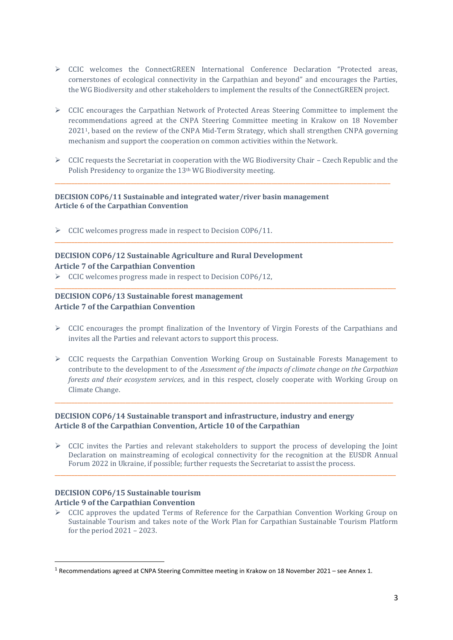- ➢ CCIC welcomes the ConnectGREEN International Conference Declaration "Protected areas, cornerstones of ecological connectivity in the Carpathian and beyond" and encourages the Parties, the WG Biodiversity and other stakeholders to implement the results of the ConnectGREEN project.
- ➢ CCIC encourages the Carpathian Network of Protected Areas Steering Committee to implement the recommendations agreed at the CNPA Steering Committee meeting in Krakow on 18 November 20211, based on the review of the CNPA Mid-Term Strategy, which shall strengthen CNPA governing mechanism and support the cooperation on common activities within the Network.
- ➢ CCIC requests the Secretariat in cooperation with the WG Biodiversity Chair Czech Republic and the Polish Presidency to organize the 13<sup>th</sup> WG Biodiversity meeting.

**\_\_\_\_\_\_\_\_\_\_\_\_\_\_\_\_\_\_\_\_\_\_\_\_\_\_\_\_\_\_\_\_\_\_\_\_\_\_\_\_\_\_\_\_\_\_\_\_\_\_\_\_\_\_\_\_\_\_\_\_\_\_\_\_\_\_\_\_\_\_\_\_\_\_\_\_\_\_\_\_\_\_\_\_\_\_\_\_\_\_\_\_\_\_\_\_\_\_\_\_\_\_\_\_\_\_\_\_\_\_\_\_\_\_\_\_\_\_\_**

**\_\_\_\_\_\_\_\_\_\_\_\_\_\_\_\_\_\_\_\_\_\_\_\_\_\_\_\_\_\_\_\_\_\_\_\_\_\_\_\_\_\_\_\_\_\_\_\_\_\_\_\_\_\_\_\_\_\_\_\_\_\_\_\_\_\_\_\_\_\_\_\_\_\_\_\_\_\_\_\_\_\_\_\_\_\_\_\_\_\_\_\_\_\_\_\_\_\_\_\_\_\_\_\_\_\_\_\_\_\_\_\_\_\_\_\_\_\_\_\_**

**\_\_\_\_\_\_\_\_\_\_\_\_\_\_\_\_\_\_\_\_\_\_\_\_\_\_\_\_\_\_\_\_\_\_\_\_\_\_\_\_\_\_\_\_\_\_\_\_\_\_\_\_\_\_\_\_\_\_\_\_\_\_\_\_\_\_\_\_\_\_\_\_\_\_\_\_\_\_\_\_\_\_\_\_\_\_\_\_\_\_\_\_\_\_\_\_\_\_\_\_\_\_\_\_\_\_\_\_\_\_\_\_\_\_\_\_\_\_\_\_\_**

#### **DECISION COP6/11 Sustainable and integrated water/river basin management Article 6 of the Carpathian Convention**

➢ CCIC welcomes progress made in respect to Decision COP6/11.

# **DECISION COP6/12 Sustainable Agriculture and Rural Development Article 7 of the Carpathian Convention**

➢ CCIC welcomes progress made in respect to Decision COP6/12,

# **DECISION COP6/13 Sustainable forest management Article 7 of the Carpathian Convention**

- $\triangleright$  CCIC encourages the prompt finalization of the Inventory of Virgin Forests of the Carpathians and invites all the Parties and relevant actors to support this process.
- $\triangleright$  CCIC requests the Carpathian Convention Working Group on Sustainable Forests Management to contribute to the development to of the *Assessment of the impacts of climate change on the Carpathian forests and their ecosystem services,* and in this respect, closely cooperate with Working Group on Climate Change.

**\_\_\_\_\_\_\_\_\_\_\_\_\_\_\_\_\_\_\_\_\_\_\_\_\_\_\_\_\_\_\_\_\_\_\_\_\_\_\_\_\_\_\_\_\_\_\_\_\_\_\_\_\_\_\_\_\_\_\_\_\_\_\_\_\_\_\_\_\_\_\_\_\_\_\_\_\_\_\_\_\_\_\_\_\_\_\_\_\_\_\_\_\_\_\_\_\_\_\_\_\_\_\_\_\_\_\_\_\_\_\_\_\_\_\_\_\_\_\_\_**

# **DECISION COP6/14 Sustainable transport and infrastructure, industry and energy Article 8 of the Carpathian Convention, Article 10 of the Carpathian**

 $\triangleright$  CCIC invites the Parties and relevant stakeholders to support the process of developing the Joint Declaration on mainstreaming of ecological connectivity for the recognition at the EUSDR Annual Forum 2022 in Ukraine, if possible; further requests the Secretariat to assist the process.

**\_\_\_\_\_\_\_\_\_\_\_\_\_\_\_\_\_\_\_\_\_\_\_\_\_\_\_\_\_\_\_\_\_\_\_\_\_\_\_\_\_\_\_\_\_\_\_\_\_\_\_\_\_\_\_\_\_\_\_\_\_\_\_\_\_\_\_\_\_\_\_\_\_\_\_\_\_\_\_\_\_\_\_\_\_\_\_\_\_\_\_\_\_\_\_\_\_\_\_\_\_\_\_\_\_\_\_\_\_\_\_\_\_\_\_\_\_\_\_\_\_**

#### **DECISION COP6/15 Sustainable tourism Article 9 of the Carpathian Convention**

➢ CCIC approves the updated Terms of Reference for the Carpathian Convention Working Group on Sustainable Tourism and takes note of the Work Plan for Carpathian Sustainable Tourism Platform for the period 2021 – 2023.

<sup>1</sup> Recommendations agreed at CNPA Steering Committee meeting in Krakow on 18 November 2021 – see Annex 1.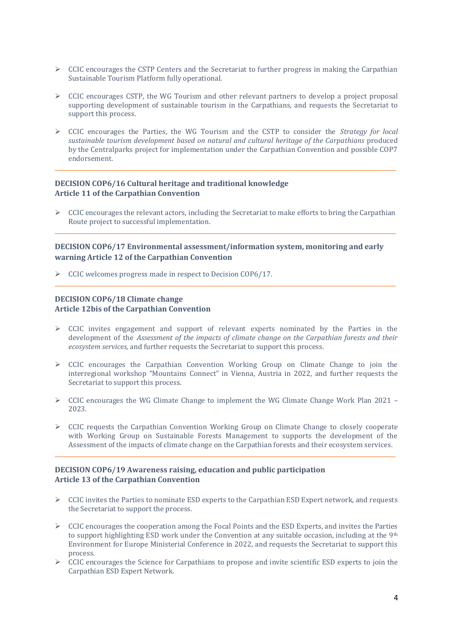- $\triangleright$  CCIC encourages the CSTP Centers and the Secretariat to further progress in making the Carpathian Sustainable Tourism Platform fully operational.
- $\triangleright$  CCIC encourages CSTP, the WG Tourism and other relevant partners to develop a project proposal supporting development of sustainable tourism in the Carpathians, and requests the Secretariat to support this process.
- ➢ CCIC encourages the Parties, the WG Tourism and the CSTP to consider the *Strategy for local sustainable tourism development based on natural and cultural heritage of the Carpathians* produced by the Centralparks project for implementation under the Carpathian Convention and possible COP7 endorsement.

**\_\_\_\_\_\_\_\_\_\_\_\_\_\_\_\_\_\_\_\_\_\_\_\_\_\_\_\_\_\_\_\_\_\_\_\_\_\_\_\_\_\_\_\_\_\_\_\_\_\_\_\_\_\_\_\_\_\_\_\_\_\_\_\_\_\_\_\_\_\_\_\_\_\_\_\_\_\_\_\_\_\_\_\_\_\_\_\_\_\_\_\_\_\_\_\_\_\_\_\_\_\_\_\_\_\_\_\_\_\_\_\_\_\_\_\_\_\_\_\_\_**

#### **DECISION COP6/16 Cultural heritage and traditional knowledge Article 11 of the Carpathian Convention**

 $\triangleright$  CCIC encourages the relevant actors, including the Secretariat to make efforts to bring the Carpathian Route project to successful implementation. **\_\_\_\_\_\_\_\_\_\_\_\_\_\_\_\_\_\_\_\_\_\_\_\_\_\_\_\_\_\_\_\_\_\_\_\_\_\_\_\_\_\_\_\_\_\_\_\_\_\_\_\_\_\_\_\_\_\_\_\_\_\_\_\_\_\_\_\_\_\_\_\_\_\_\_\_\_\_\_\_\_\_\_\_\_\_\_\_\_\_\_\_\_\_\_\_\_\_\_\_\_\_\_\_\_\_\_\_\_\_\_\_\_\_\_\_\_\_\_\_\_**

# **DECISION COP6/17 Environmental assessment/information system, monitoring and early warning Article 12 of the Carpathian Convention**

**\_\_\_\_\_\_\_\_\_\_\_\_\_\_\_\_\_\_\_\_\_\_\_\_\_\_\_\_\_\_\_\_\_\_\_\_\_\_\_\_\_\_\_\_\_\_\_\_\_\_\_\_\_\_\_\_\_\_\_\_\_\_\_\_\_\_\_\_\_\_\_\_\_\_\_\_\_\_\_\_\_\_\_\_\_\_\_\_\_\_\_\_\_\_\_\_\_\_\_\_\_\_\_\_\_\_\_\_\_\_\_\_\_\_\_\_\_\_\_\_\_**

➢ CCIC welcomes progress made in respect to Decision COP6/17.

# **DECISION COP6/18 Climate change Article 12bis of the Carpathian Convention**

- $\triangleright$  CCIC invites engagement and support of relevant experts nominated by the Parties in the development of the *Assessment of the impacts of climate change on the Carpathian forests and their ecosystem services,* and further requests the Secretariat to support this process.
- $\triangleright$  CCIC encourages the Carpathian Convention Working Group on Climate Change to join the interregional workshop "Mountains Connect" in Vienna, Austria in 2022, and further requests the Secretariat to support this process.
- ➢ CCIC encourages the WG Climate Change to implement the WG Climate Change Work Plan 2021 2023.
- $\triangleright$  CCIC requests the Carpathian Convention Working Group on Climate Change to closely cooperate with Working Group on Sustainable Forests Management to supports the development of the Assessment of the impacts of climate change on the Carpathian forests and their ecosystem services.

**\_\_\_\_\_\_\_\_\_\_\_\_\_\_\_\_\_\_\_\_\_\_\_\_\_\_\_\_\_\_\_\_\_\_\_\_\_\_\_\_\_\_\_\_\_\_\_\_\_\_\_\_\_\_\_\_\_\_\_\_\_\_\_\_\_\_\_\_\_\_\_\_\_\_\_\_\_\_\_\_\_\_\_\_\_\_\_\_\_\_\_\_\_\_\_\_\_\_\_\_\_\_\_\_\_\_\_\_\_\_\_\_\_\_\_\_\_\_\_\_\_**

# **DECISION COP6/19 Awareness raising, education and public participation Article 13 of the Carpathian Convention**

- $\geq$  CCIC invites the Parties to nominate ESD experts to the Carpathian ESD Expert network, and requests the Secretariat to support the process.
- $\triangleright$  CCIC encourages the cooperation among the Focal Points and the ESD Experts, and invites the Parties to support highlighting ESD work under the Convention at any suitable occasion, including at the 9th Environment for Europe Ministerial Conference in 2022, and requests the Secretariat to support this process.
- $\triangleright$  CCIC encourages the Science for Carpathians to propose and invite scientific ESD experts to join the Carpathian ESD Expert Network.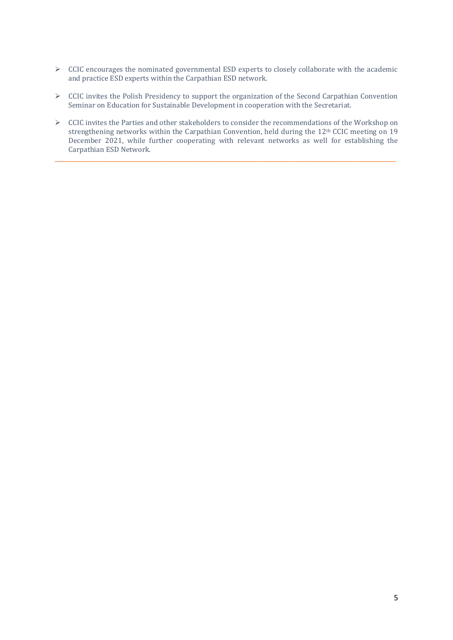- ➢ CCIC encourages the nominated governmental ESD experts to closely collaborate with the academic and practice ESD experts within the Carpathian ESD network.
- ➢ CCIC invites the Polish Presidency to support the organization of the Second Carpathian Convention Seminar on Education for Sustainable Development in cooperation with the Secretariat.
- ➢ CCIC invites the Parties and other stakeholders to consider the recommendations of the Workshop on strengthening networks within the Carpathian Convention, held during the 12<sup>th</sup> CCIC meeting on 19 December 2021, while further cooperating with relevant networks as well for establishing the Carpathian ESD Network.

**\_\_\_\_\_\_\_\_\_\_\_\_\_\_\_\_\_\_\_\_\_\_\_\_\_\_\_\_\_\_\_\_\_\_\_\_\_\_\_\_\_\_\_\_\_\_\_\_\_\_\_\_\_\_\_\_\_\_\_\_\_\_\_\_\_\_\_\_\_\_\_\_\_\_\_\_\_\_\_\_\_\_\_\_\_\_\_\_\_\_\_\_\_\_\_\_\_\_\_\_\_\_\_\_\_\_\_\_\_\_\_\_\_\_\_\_\_\_\_\_\_**